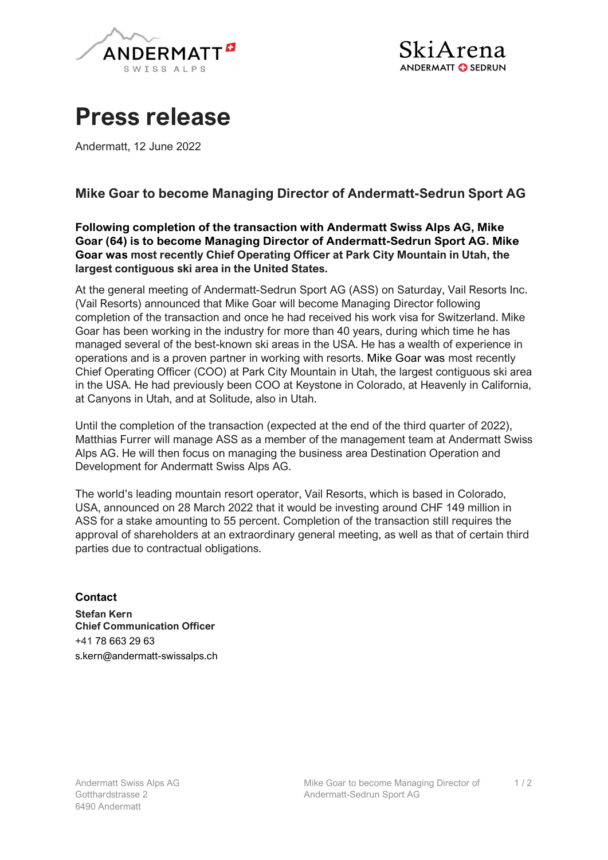

## Press release

Andermatt, 12 June 2022

## Mike Goar to become Managing Director of Andermatt-Sedrun Sport AG

Following completion of the transaction with Andermatt Swiss Alps AG, Mike Goar (64) is to become Managing Director of Andermatt-Sedrun Sport AG. Mike Goar was most recently Chief Operating Officer at Park City Mountain in Utah, the largest contiguous ski area in the United States.

At the general meeting of Andermatt-Sedrun Sport AG (ASS) on Saturday, Vail Resorts Inc. (Vail Resorts) announced that Mike Goar will become Managing Director following completion of the transaction and once he had received his work visa for Switzerland. Mike Goar has been working in the industry for more than 40 years, during which time he has managed several of the best-known ski areas in the USA. He has a wealth of experience in operations and is a proven partner in working with resorts. Mike Goar was most recently Chief Operating Officer (COO) at Park City Mountain in Utah, the largest contiguous ski area in the USA. He had previously been COO at Keystone in Colorado, at Heavenly in California, at Canyons in Utah, and at Solitude, also in Utah.

Until the completion of the transaction (expected at the end of the third quarter of 2022), Matthias Furrer will manage ASS as a member of the management team at Andermatt Swiss Alps AG. He will then focus on managing the business area Destination Operation and Development for Andermatt Swiss Alps AG.

The world's leading mountain resort operator, Vail Resorts, which is based in Colorado, USA, announced on 28 March 2022 that it would be investing around CHF 149 million in ASS for a stake amounting to 55 percent. Completion of the transaction still requires the approval of shareholders at an extraordinary general meeting, as well as that of certain third parties due to contractual obligations.

## **Contact**

Stefan Kern Chief Communication Officer +41 78 663 29 63 s.kern@andermatt-swissalps.ch